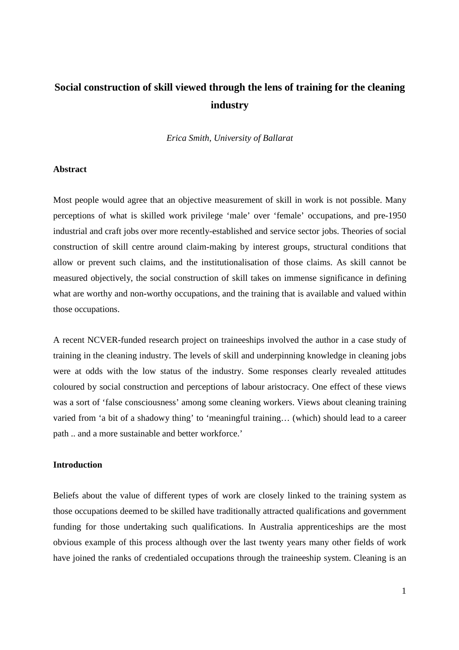# **Social construction of skill viewed through the lens of training for the cleaning industry**

#### *Erica Smith, University of Ballarat*

# **Abstract**

Most people would agree that an objective measurement of skill in work is not possible. Many perceptions of what is skilled work privilege 'male' over 'female' occupations, and pre-1950 industrial and craft jobs over more recently-established and service sector jobs. Theories of social construction of skill centre around claim-making by interest groups, structural conditions that allow or prevent such claims, and the institutionalisation of those claims. As skill cannot be measured objectively, the social construction of skill takes on immense significance in defining what are worthy and non-worthy occupations, and the training that is available and valued within those occupations.

A recent NCVER-funded research project on traineeships involved the author in a case study of training in the cleaning industry. The levels of skill and underpinning knowledge in cleaning jobs were at odds with the low status of the industry. Some responses clearly revealed attitudes coloured by social construction and perceptions of labour aristocracy. One effect of these views was a sort of 'false consciousness' among some cleaning workers. Views about cleaning training varied from 'a bit of a shadowy thing' to 'meaningful training… (which) should lead to a career path .. and a more sustainable and better workforce.'

# **Introduction**

Beliefs about the value of different types of work are closely linked to the training system as those occupations deemed to be skilled have traditionally attracted qualifications and government funding for those undertaking such qualifications. In Australia apprenticeships are the most obvious example of this process although over the last twenty years many other fields of work have joined the ranks of credentialed occupations through the traineeship system. Cleaning is an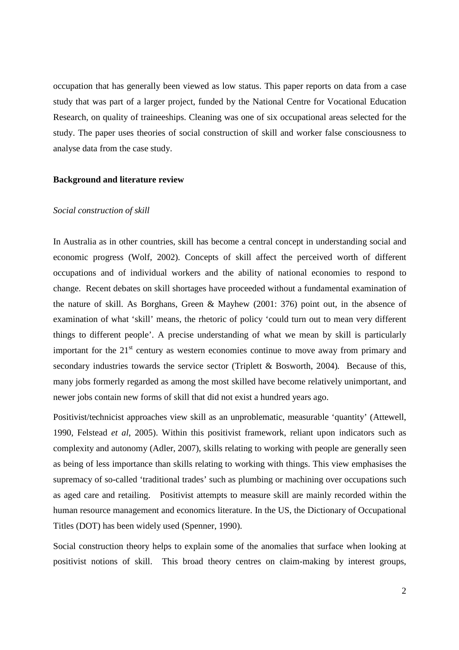occupation that has generally been viewed as low status. This paper reports on data from a case study that was part of a larger project, funded by the National Centre for Vocational Education Research, on quality of traineeships. Cleaning was one of six occupational areas selected for the study. The paper uses theories of social construction of skill and worker false consciousness to analyse data from the case study.

#### **Background and literature review**

#### *Social construction of skill*

In Australia as in other countries, skill has become a central concept in understanding social and economic progress (Wolf, 2002). Concepts of skill affect the perceived worth of different occupations and of individual workers and the ability of national economies to respond to change. Recent debates on skill shortages have proceeded without a fundamental examination of the nature of skill. As Borghans, Green & Mayhew (2001: 376) point out, in the absence of examination of what 'skill' means, the rhetoric of policy 'could turn out to mean very different things to different people'. A precise understanding of what we mean by skill is particularly important for the  $21<sup>st</sup>$  century as western economies continue to move away from primary and secondary industries towards the service sector (Triplett & Bosworth, 2004)*.* Because of this, many jobs formerly regarded as among the most skilled have become relatively unimportant, and newer jobs contain new forms of skill that did not exist a hundred years ago.

Positivist/technicist approaches view skill as an unproblematic, measurable 'quantity' (Attewell, 1990, Felstead *et al*, 2005). Within this positivist framework, reliant upon indicators such as complexity and autonomy (Adler, 2007), skills relating to working with people are generally seen as being of less importance than skills relating to working with things. This view emphasises the supremacy of so-called 'traditional trades' such as plumbing or machining over occupations such as aged care and retailing. Positivist attempts to measure skill are mainly recorded within the human resource management and economics literature. In the US, the Dictionary of Occupational Titles (DOT) has been widely used (Spenner, 1990).

Social construction theory helps to explain some of the anomalies that surface when looking at positivist notions of skill. This broad theory centres on claim-making by interest groups,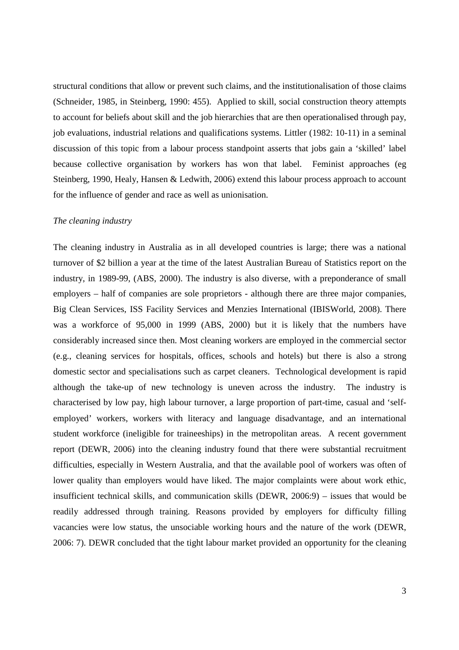structural conditions that allow or prevent such claims, and the institutionalisation of those claims (Schneider, 1985, in Steinberg, 1990: 455). Applied to skill, social construction theory attempts to account for beliefs about skill and the job hierarchies that are then operationalised through pay, job evaluations, industrial relations and qualifications systems. Littler (1982: 10-11) in a seminal discussion of this topic from a labour process standpoint asserts that jobs gain a 'skilled' label because collective organisation by workers has won that label. Feminist approaches (eg Steinberg, 1990, Healy, Hansen & Ledwith, 2006) extend this labour process approach to account for the influence of gender and race as well as unionisation.

#### *The cleaning industry*

The cleaning industry in Australia as in all developed countries is large; there was a national turnover of \$2 billion a year at the time of the latest Australian Bureau of Statistics report on the industry, in 1989-99, (ABS, 2000). The industry is also diverse, with a preponderance of small employers – half of companies are sole proprietors - although there are three major companies, Big Clean Services, ISS Facility Services and Menzies International (IBISWorld, 2008). There was a workforce of 95,000 in 1999 (ABS, 2000) but it is likely that the numbers have considerably increased since then. Most cleaning workers are employed in the commercial sector (e.g., cleaning services for hospitals, offices, schools and hotels) but there is also a strong domestic sector and specialisations such as carpet cleaners. Technological development is rapid although the take-up of new technology is uneven across the industry. The industry is characterised by low pay, high labour turnover, a large proportion of part-time, casual and 'selfemployed' workers, workers with literacy and language disadvantage, and an international student workforce (ineligible for traineeships) in the metropolitan areas. A recent government report (DEWR, 2006) into the cleaning industry found that there were substantial recruitment difficulties, especially in Western Australia, and that the available pool of workers was often of lower quality than employers would have liked. The major complaints were about work ethic, insufficient technical skills, and communication skills (DEWR, 2006:9) – issues that would be readily addressed through training. Reasons provided by employers for difficulty filling vacancies were low status, the unsociable working hours and the nature of the work (DEWR, 2006: 7). DEWR concluded that the tight labour market provided an opportunity for the cleaning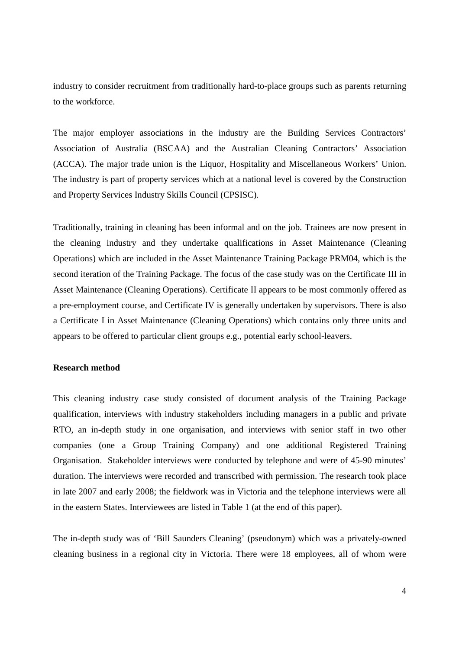industry to consider recruitment from traditionally hard-to-place groups such as parents returning to the workforce.

The major employer associations in the industry are the Building Services Contractors' Association of Australia (BSCAA) and the Australian Cleaning Contractors' Association (ACCA). The major trade union is the Liquor, Hospitality and Miscellaneous Workers' Union. The industry is part of property services which at a national level is covered by the Construction and Property Services Industry Skills Council (CPSISC).

Traditionally, training in cleaning has been informal and on the job. Trainees are now present in the cleaning industry and they undertake qualifications in Asset Maintenance (Cleaning Operations) which are included in the Asset Maintenance Training Package PRM04, which is the second iteration of the Training Package. The focus of the case study was on the Certificate III in Asset Maintenance (Cleaning Operations). Certificate II appears to be most commonly offered as a pre-employment course, and Certificate IV is generally undertaken by supervisors. There is also a Certificate I in Asset Maintenance (Cleaning Operations) which contains only three units and appears to be offered to particular client groups e.g., potential early school-leavers.

# **Research method**

This cleaning industry case study consisted of document analysis of the Training Package qualification, interviews with industry stakeholders including managers in a public and private RTO, an in-depth study in one organisation, and interviews with senior staff in two other companies (one a Group Training Company) and one additional Registered Training Organisation. Stakeholder interviews were conducted by telephone and were of 45-90 minutes' duration. The interviews were recorded and transcribed with permission. The research took place in late 2007 and early 2008; the fieldwork was in Victoria and the telephone interviews were all in the eastern States. Interviewees are listed in Table 1 (at the end of this paper).

The in-depth study was of 'Bill Saunders Cleaning' (pseudonym) which was a privately-owned cleaning business in a regional city in Victoria. There were 18 employees, all of whom were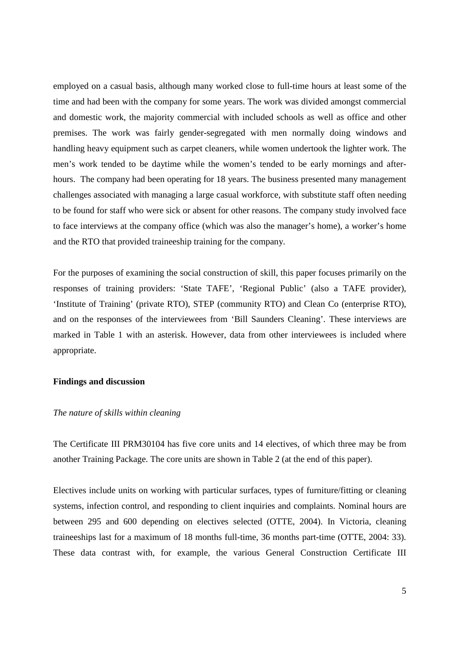employed on a casual basis, although many worked close to full-time hours at least some of the time and had been with the company for some years. The work was divided amongst commercial and domestic work, the majority commercial with included schools as well as office and other premises. The work was fairly gender-segregated with men normally doing windows and handling heavy equipment such as carpet cleaners, while women undertook the lighter work. The men's work tended to be daytime while the women's tended to be early mornings and afterhours. The company had been operating for 18 years. The business presented many management challenges associated with managing a large casual workforce, with substitute staff often needing to be found for staff who were sick or absent for other reasons. The company study involved face to face interviews at the company office (which was also the manager's home), a worker's home and the RTO that provided traineeship training for the company.

For the purposes of examining the social construction of skill, this paper focuses primarily on the responses of training providers: 'State TAFE', 'Regional Public' (also a TAFE provider), 'Institute of Training' (private RTO), STEP (community RTO) and Clean Co (enterprise RTO), and on the responses of the interviewees from 'Bill Saunders Cleaning'. These interviews are marked in Table 1 with an asterisk. However, data from other interviewees is included where appropriate.

# **Findings and discussion**

#### *The nature of skills within cleaning*

The Certificate III PRM30104 has five core units and 14 electives, of which three may be from another Training Package. The core units are shown in Table 2 (at the end of this paper).

Electives include units on working with particular surfaces, types of furniture/fitting or cleaning systems, infection control, and responding to client inquiries and complaints. Nominal hours are between 295 and 600 depending on electives selected (OTTE, 2004). In Victoria, cleaning traineeships last for a maximum of 18 months full-time, 36 months part-time (OTTE, 2004: 33). These data contrast with, for example, the various General Construction Certificate III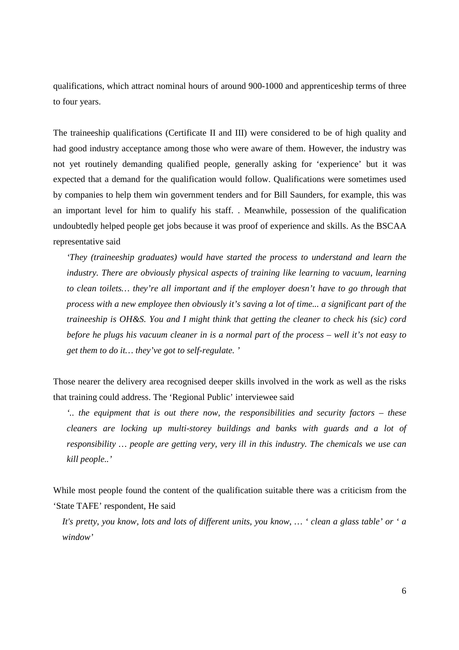qualifications, which attract nominal hours of around 900-1000 and apprenticeship terms of three to four years.

The traineeship qualifications (Certificate II and III) were considered to be of high quality and had good industry acceptance among those who were aware of them. However, the industry was not yet routinely demanding qualified people, generally asking for 'experience' but it was expected that a demand for the qualification would follow. Qualifications were sometimes used by companies to help them win government tenders and for Bill Saunders, for example, this was an important level for him to qualify his staff. . Meanwhile, possession of the qualification undoubtedly helped people get jobs because it was proof of experience and skills. As the BSCAA representative said

*'They (traineeship graduates) would have started the process to understand and learn the industry. There are obviously physical aspects of training like learning to vacuum, learning to clean toilets… they're all important and if the employer doesn't have to go through that process with a new employee then obviously it's saving a lot of time... a significant part of the traineeship is OH&S. You and I might think that getting the cleaner to check his (sic) cord before he plugs his vacuum cleaner in is a normal part of the process – well it's not easy to get them to do it… they've got to self-regulate. '* 

Those nearer the delivery area recognised deeper skills involved in the work as well as the risks that training could address. The 'Regional Public' interviewee said

*'.. the equipment that is out there now, the responsibilities and security factors – these cleaners are locking up multi-storey buildings and banks with guards and a lot of responsibility … people are getting very, very ill in this industry. The chemicals we use can kill people..'* 

While most people found the content of the qualification suitable there was a criticism from the 'State TAFE' respondent, He said

*It's pretty, you know, lots and lots of different units, you know, … ' clean a glass table' or ' a window'*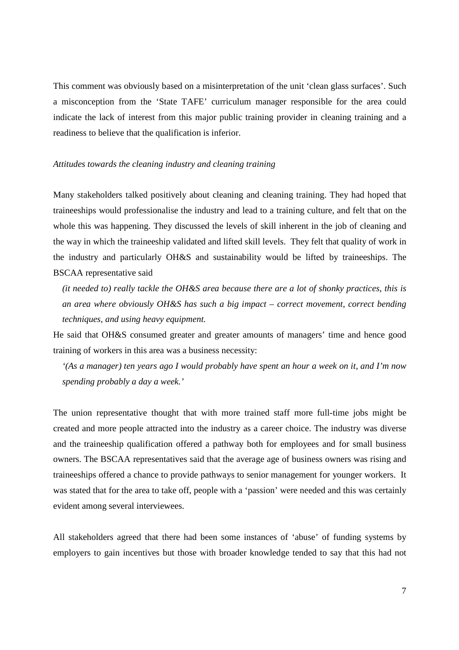This comment was obviously based on a misinterpretation of the unit 'clean glass surfaces'. Such a misconception from the 'State TAFE' curriculum manager responsible for the area could indicate the lack of interest from this major public training provider in cleaning training and a readiness to believe that the qualification is inferior.

#### *Attitudes towards the cleaning industry and cleaning training*

Many stakeholders talked positively about cleaning and cleaning training. They had hoped that traineeships would professionalise the industry and lead to a training culture, and felt that on the whole this was happening. They discussed the levels of skill inherent in the job of cleaning and the way in which the traineeship validated and lifted skill levels. They felt that quality of work in the industry and particularly OH&S and sustainability would be lifted by traineeships. The BSCAA representative said

*(it needed to) really tackle the OH&S area because there are a lot of shonky practices, this is an area where obviously OH&S has such a big impact – correct movement, correct bending techniques, and using heavy equipment.* 

He said that OH&S consumed greater and greater amounts of managers' time and hence good training of workers in this area was a business necessity:

*'(As a manager) ten years ago I would probably have spent an hour a week on it, and I'm now spending probably a day a week.'* 

The union representative thought that with more trained staff more full-time jobs might be created and more people attracted into the industry as a career choice. The industry was diverse and the traineeship qualification offered a pathway both for employees and for small business owners. The BSCAA representatives said that the average age of business owners was rising and traineeships offered a chance to provide pathways to senior management for younger workers. It was stated that for the area to take off, people with a 'passion' were needed and this was certainly evident among several interviewees.

All stakeholders agreed that there had been some instances of 'abuse' of funding systems by employers to gain incentives but those with broader knowledge tended to say that this had not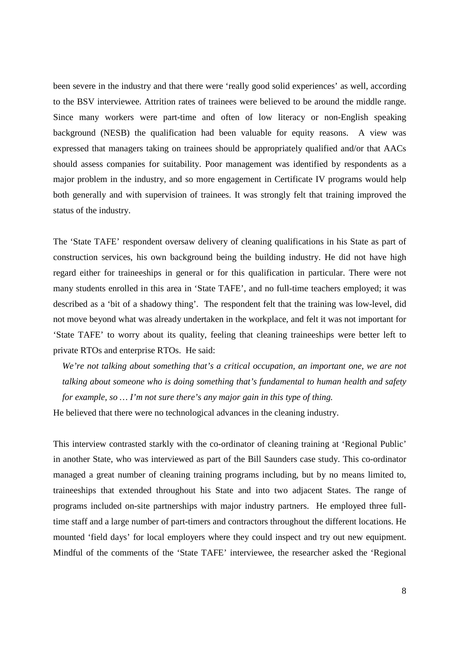been severe in the industry and that there were 'really good solid experiences' as well, according to the BSV interviewee. Attrition rates of trainees were believed to be around the middle range. Since many workers were part-time and often of low literacy or non-English speaking background (NESB) the qualification had been valuable for equity reasons. A view was expressed that managers taking on trainees should be appropriately qualified and/or that AACs should assess companies for suitability. Poor management was identified by respondents as a major problem in the industry, and so more engagement in Certificate IV programs would help both generally and with supervision of trainees. It was strongly felt that training improved the status of the industry.

The 'State TAFE' respondent oversaw delivery of cleaning qualifications in his State as part of construction services, his own background being the building industry. He did not have high regard either for traineeships in general or for this qualification in particular. There were not many students enrolled in this area in 'State TAFE', and no full-time teachers employed; it was described as a 'bit of a shadowy thing'. The respondent felt that the training was low-level, did not move beyond what was already undertaken in the workplace, and felt it was not important for 'State TAFE' to worry about its quality, feeling that cleaning traineeships were better left to private RTOs and enterprise RTOs. He said:

*We're not talking about something that's a critical occupation, an important one, we are not talking about someone who is doing something that's fundamental to human health and safety for example, so … I'm not sure there's any major gain in this type of thing.* 

He believed that there were no technological advances in the cleaning industry.

This interview contrasted starkly with the co-ordinator of cleaning training at 'Regional Public' in another State, who was interviewed as part of the Bill Saunders case study. This co-ordinator managed a great number of cleaning training programs including, but by no means limited to, traineeships that extended throughout his State and into two adjacent States. The range of programs included on-site partnerships with major industry partners. He employed three fulltime staff and a large number of part-timers and contractors throughout the different locations. He mounted 'field days' for local employers where they could inspect and try out new equipment. Mindful of the comments of the 'State TAFE' interviewee, the researcher asked the 'Regional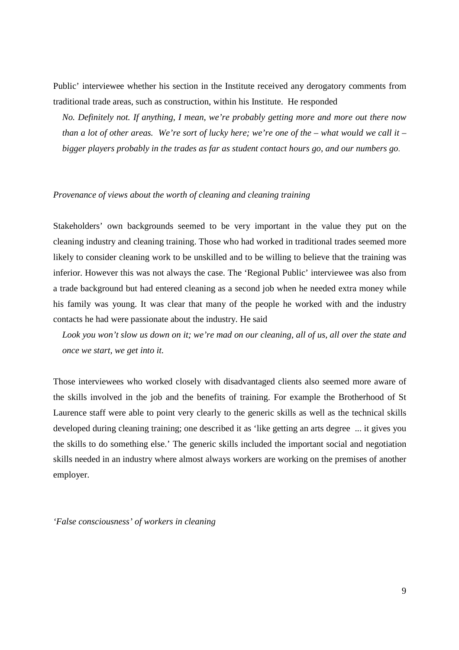Public' interviewee whether his section in the Institute received any derogatory comments from traditional trade areas, such as construction, within his Institute. He responded

*No. Definitely not. If anything, I mean, we're probably getting more and more out there now than a lot of other areas. We're sort of lucky here; we're one of the – what would we call it – bigger players probably in the trades as far as student contact hours go, and our numbers go*.

# *Provenance of views about the worth of cleaning and cleaning training*

Stakeholders' own backgrounds seemed to be very important in the value they put on the cleaning industry and cleaning training. Those who had worked in traditional trades seemed more likely to consider cleaning work to be unskilled and to be willing to believe that the training was inferior. However this was not always the case. The 'Regional Public' interviewee was also from a trade background but had entered cleaning as a second job when he needed extra money while his family was young. It was clear that many of the people he worked with and the industry contacts he had were passionate about the industry. He said

*Look you won't slow us down on it; we're mad on our cleaning, all of us, all over the state and once we start, we get into it.*

Those interviewees who worked closely with disadvantaged clients also seemed more aware of the skills involved in the job and the benefits of training. For example the Brotherhood of St Laurence staff were able to point very clearly to the generic skills as well as the technical skills developed during cleaning training; one described it as 'like getting an arts degree ... it gives you the skills to do something else.' The generic skills included the important social and negotiation skills needed in an industry where almost always workers are working on the premises of another employer.

*'False consciousness' of workers in cleaning*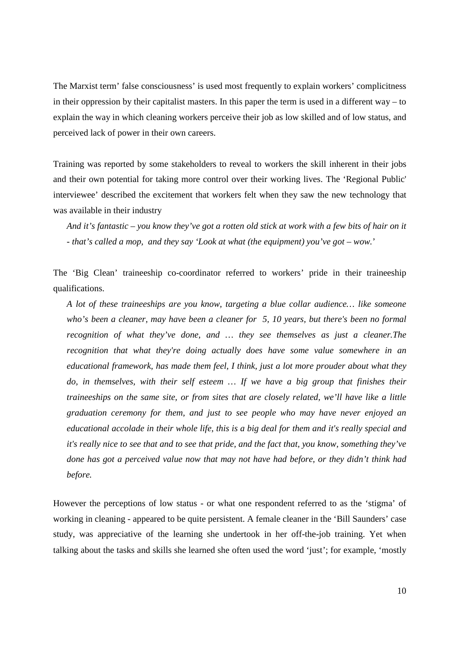The Marxist term' false consciousness' is used most frequently to explain workers' complicitness in their oppression by their capitalist masters. In this paper the term is used in a different way  $-$  to explain the way in which cleaning workers perceive their job as low skilled and of low status, and perceived lack of power in their own careers.

Training was reported by some stakeholders to reveal to workers the skill inherent in their jobs and their own potential for taking more control over their working lives. The 'Regional Public' interviewee' described the excitement that workers felt when they saw the new technology that was available in their industry

*And it's fantastic – you know they've got a rotten old stick at work with a few bits of hair on it - that's called a mop, and they say 'Look at what (the equipment) you've got – wow.*'

The 'Big Clean' traineeship co-coordinator referred to workers' pride in their traineeship qualifications.

*A lot of these traineeships are you know, targeting a blue collar audience… like someone who's been a cleaner, may have been a cleaner for 5, 10 years, but there's been no formal recognition of what they've done, and … they see themselves as just a cleaner.The recognition that what they're doing actually does have some value somewhere in an educational framework, has made them feel, I think, just a lot more prouder about what they*  do, in themselves, with their self esteem ... If we have a big group that finishes their *traineeships on the same site, or from sites that are closely related, we'll have like a little graduation ceremony for them, and just to see people who may have never enjoyed an educational accolade in their whole life, this is a big deal for them and it's really special and it's really nice to see that and to see that pride, and the fact that, you know, something they've done has got a perceived value now that may not have had before, or they didn't think had before.*

However the perceptions of low status - or what one respondent referred to as the 'stigma' of working in cleaning - appeared to be quite persistent. A female cleaner in the 'Bill Saunders' case study, was appreciative of the learning she undertook in her off-the-job training. Yet when talking about the tasks and skills she learned she often used the word 'just'; for example, 'mostly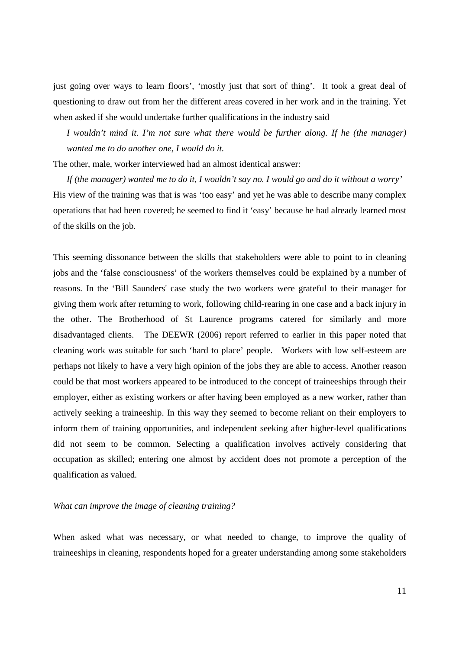just going over ways to learn floors', 'mostly just that sort of thing'. It took a great deal of questioning to draw out from her the different areas covered in her work and in the training. Yet when asked if she would undertake further qualifications in the industry said

*I wouldn't mind it. I'm not sure what there would be further along. If he (the manager) wanted me to do another one, I would do it.*

The other, male, worker interviewed had an almost identical answer:

*If (the manager) wanted me to do it, I wouldn't say no. I would go and do it without a worry'*  His view of the training was that is was 'too easy' and yet he was able to describe many complex operations that had been covered; he seemed to find it 'easy' because he had already learned most of the skills on the job.

This seeming dissonance between the skills that stakeholders were able to point to in cleaning jobs and the 'false consciousness' of the workers themselves could be explained by a number of reasons. In the 'Bill Saunders' case study the two workers were grateful to their manager for giving them work after returning to work, following child-rearing in one case and a back injury in the other. The Brotherhood of St Laurence programs catered for similarly and more disadvantaged clients. The DEEWR (2006) report referred to earlier in this paper noted that cleaning work was suitable for such 'hard to place' people. Workers with low self-esteem are perhaps not likely to have a very high opinion of the jobs they are able to access. Another reason could be that most workers appeared to be introduced to the concept of traineeships through their employer, either as existing workers or after having been employed as a new worker, rather than actively seeking a traineeship. In this way they seemed to become reliant on their employers to inform them of training opportunities, and independent seeking after higher-level qualifications did not seem to be common. Selecting a qualification involves actively considering that occupation as skilled; entering one almost by accident does not promote a perception of the qualification as valued.

## *What can improve the image of cleaning training?*

When asked what was necessary, or what needed to change, to improve the quality of traineeships in cleaning, respondents hoped for a greater understanding among some stakeholders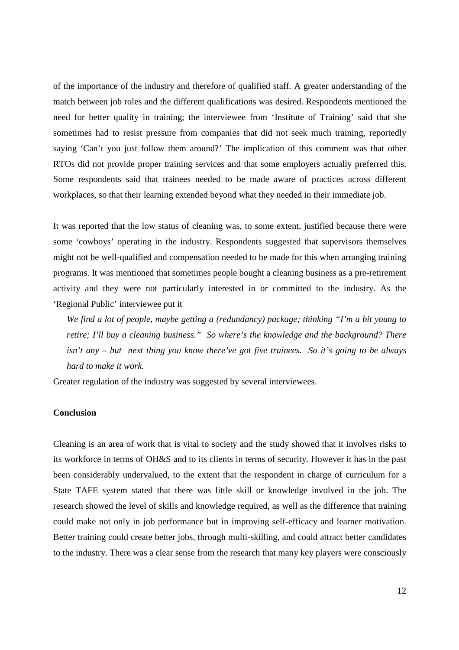of the importance of the industry and therefore of qualified staff. A greater understanding of the match between job roles and the different qualifications was desired. Respondents mentioned the need for better quality in training; the interviewee from 'Institute of Training' said that she sometimes had to resist pressure from companies that did not seek much training, reportedly saying 'Can't you just follow them around?' The implication of this comment was that other RTOs did not provide proper training services and that some employers actually preferred this. Some respondents said that trainees needed to be made aware of practices across different workplaces, so that their learning extended beyond what they needed in their immediate job.

It was reported that the low status of cleaning was, to some extent, justified because there were some 'cowboys' operating in the industry. Respondents suggested that supervisors themselves might not be well-qualified and compensation needed to be made for this when arranging training programs. It was mentioned that sometimes people bought a cleaning business as a pre-retirement activity and they were not particularly interested in or committed to the industry. As the 'Regional Public' interviewee put it

*We find a lot of people, maybe getting a (redundancy) package; thinking "I'm a bit young to retire; I'll buy a cleaning business." So where's the knowledge and the background? There isn't any – but next thing you know there've got five trainees. So it's going to be always hard to make it work.* 

Greater regulation of the industry was suggested by several interviewees.

# **Conclusion**

Cleaning is an area of work that is vital to society and the study showed that it involves risks to its workforce in terms of OH&S and to its clients in terms of security. However it has in the past been considerably undervalued, to the extent that the respondent in charge of curriculum for a State TAFE system stated that there was little skill or knowledge involved in the job. The research showed the level of skills and knowledge required, as well as the difference that training could make not only in job performance but in improving self-efficacy and learner motivation. Better training could create better jobs, through multi-skilling, and could attract better candidates to the industry. There was a clear sense from the research that many key players were consciously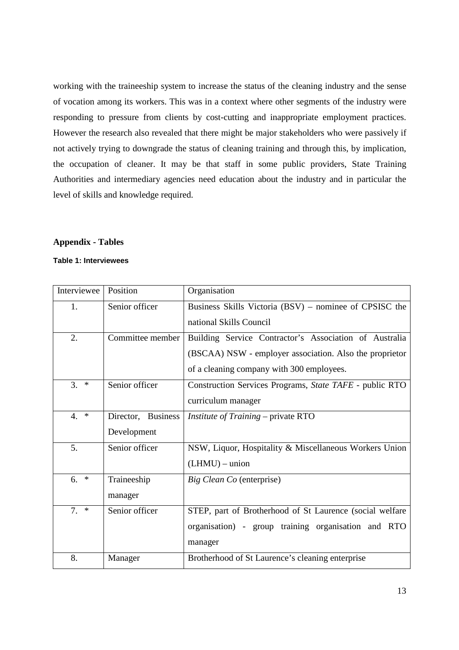working with the traineeship system to increase the status of the cleaning industry and the sense of vocation among its workers. This was in a context where other segments of the industry were responding to pressure from clients by cost-cutting and inappropriate employment practices. However the research also revealed that there might be major stakeholders who were passively if not actively trying to downgrade the status of cleaning training and through this, by implication, the occupation of cleaner. It may be that staff in some public providers, State Training Authorities and intermediary agencies need education about the industry and in particular the level of skills and knowledge required.

## **Appendix - Tables**

## **Table 1: Interviewees**

| Interviewee  | Position                          | Organisation                                                                                                                                                   |  |  |
|--------------|-----------------------------------|----------------------------------------------------------------------------------------------------------------------------------------------------------------|--|--|
| 1.           | Senior officer                    | Business Skills Victoria (BSV) – nominee of CPSISC the<br>national Skills Council                                                                              |  |  |
| 2.           | Committee member                  | Building Service Contractor's Association of Australia<br>(BSCAA) NSW - employer association. Also the proprietor<br>of a cleaning company with 300 employees. |  |  |
| 3.<br>$\ast$ | Senior officer                    | Construction Services Programs, State TAFE - public RTO<br>curriculum manager                                                                                  |  |  |
| 4.<br>$\ast$ | Director, Business<br>Development | Institute of Training – private RTO                                                                                                                            |  |  |
| 5.           | Senior officer                    | NSW, Liquor, Hospitality & Miscellaneous Workers Union<br>$(LHMU)$ – union                                                                                     |  |  |
| $\ast$<br>6. | Traineeship<br>manager            | Big Clean Co (enterprise)                                                                                                                                      |  |  |
| $7. *$       | Senior officer                    | STEP, part of Brotherhood of St Laurence (social welfare<br>organisation) - group training organisation and RTO<br>manager                                     |  |  |
| 8.           | Manager                           | Brotherhood of St Laurence's cleaning enterprise                                                                                                               |  |  |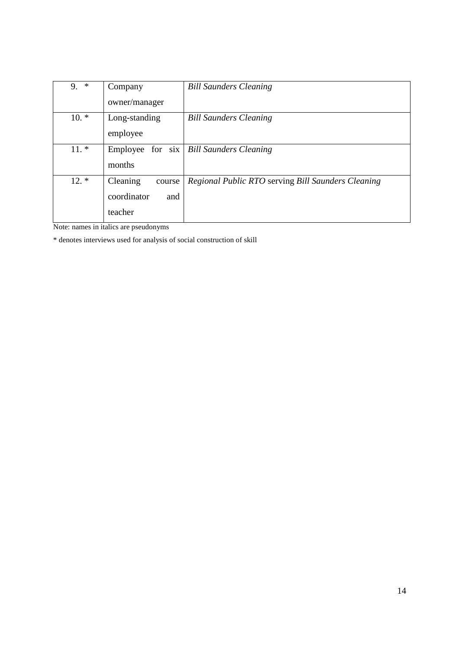| $\ast$<br>9. | Company            | <b>Bill Saunders Cleaning</b>                      |
|--------------|--------------------|----------------------------------------------------|
|              | owner/manager      |                                                    |
| $10.*$       | Long-standing      | <b>Bill Saunders Cleaning</b>                      |
|              | employee           |                                                    |
| $11.*$       |                    | Employee for six   Bill Saunders Cleaning          |
|              | months             |                                                    |
| $12.*$       | Cleaning<br>course | Regional Public RTO serving Bill Saunders Cleaning |
|              | coordinator<br>and |                                                    |
|              | teacher            |                                                    |

Note: names in italics are pseudonyms

\* denotes interviews used for analysis of social construction of skill